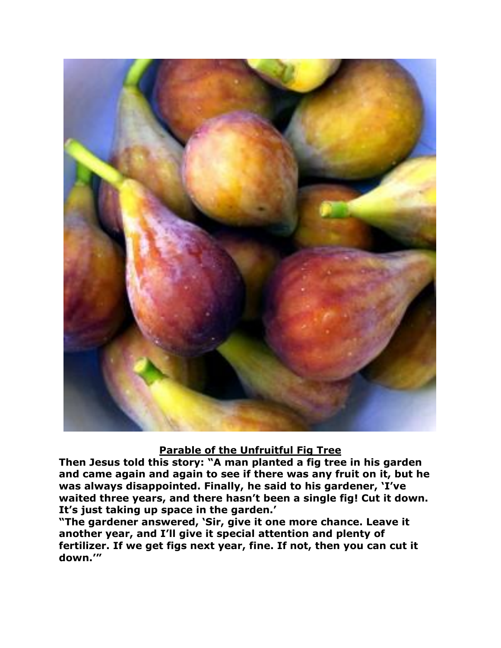

## **Parable of the Unfruitful Fig Tree**

**Then Jesus told this story: "A man planted a fig tree in his garden and came again and again to see if there was any fruit on it, but he was always disappointed. Finally, he said to his gardener, 'I've waited three years, and there hasn't been a single fig! Cut it down. It's just taking up space in the garden.'**

**"The gardener answered, 'Sir, give it one more chance. Leave it another year, and I'll give it special attention and plenty of fertilizer. If we get figs next year, fine. If not, then you can cut it down.'"**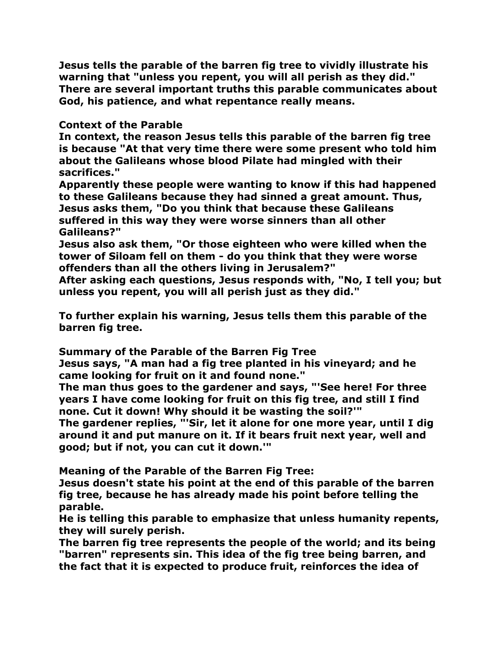**Jesus tells the parable of the barren fig tree to vividly illustrate his warning that "unless you repent, you will all perish as they did." There are several important truths this parable communicates about God, his patience, and what repentance really means.**

## **Context of the Parable**

**In context, the reason Jesus tells this parable of the barren fig tree is because "At that very time there were some present who told him about the Galileans whose blood Pilate had mingled with their sacrifices."**

**Apparently these people were wanting to know if this had happened to these Galileans because they had sinned a great amount. Thus, Jesus asks them, "Do you think that because these Galileans suffered in this way they were worse sinners than all other Galileans?"**

**Jesus also ask them, "Or those eighteen who were killed when the tower of Siloam fell on them - do you think that they were worse offenders than all the others living in Jerusalem?"**

**After asking each questions, Jesus responds with, "No, I tell you; but unless you repent, you will all perish just as they did."**

**To further explain his warning, Jesus tells them this parable of the barren fig tree.**

**Summary of the Parable of the Barren Fig Tree**

**Jesus says, "A man had a fig tree planted in his vineyard; and he came looking for fruit on it and found none."**

**The man thus goes to the gardener and says, "'See here! For three years I have come looking for fruit on this fig tree, and still I find none. Cut it down! Why should it be wasting the soil?'"** 

**The gardener replies, "'Sir, let it alone for one more year, until I dig around it and put manure on it. If it bears fruit next year, well and good; but if not, you can cut it down.'"**

**Meaning of the Parable of the Barren Fig Tree:**

**Jesus doesn't state his point at the end of this parable of the barren fig tree, because he has already made his point before telling the parable.**

**He is telling this parable to emphasize that unless humanity repents, they will surely perish.** 

**The barren fig tree represents the people of the world; and its being "barren" represents sin. This idea of the fig tree being barren, and the fact that it is expected to produce fruit, reinforces the idea of**